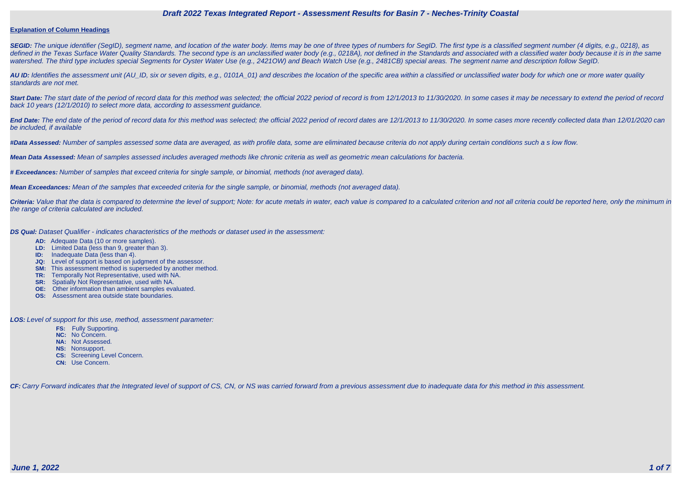

#### **Explanation of Column Headings**

**SEGID:** The unique identifier (SegID), segment name, and location of the water body. Items may be one of three types of numbers for SegID. The first type is a classified segment number (4 digits, e.g., 0218), as defined in the Texas Surface Water Quality Standards. The second type is an unclassified water body (e.g., 0218A), not defined in the Standards and associated with a classified water body because it is in the same watershed. The third type includes special Segments for Oyster Water Use (e.g., 2421OW) and Beach Watch Use (e.g., 2481CB) special areas. The segment name and description follow SegID.

**AU ID:** Identifies the assessment unit (AU\_ID, six or seven digits, e.g., 0101A\_01) and describes the location of the specific area within a classified or unclassified water body for which one or more water quality standards are not met.

Start Date: The start date of the period of record data for this method was selected; the official 2022 period of record is from 12/1/2013 to 11/30/2020. In some cases it may be necessary to extend the period of record back 10 years (12/1/2010) to select more data, according to assessment guidance.

End Date: The end date of the period of record data for this method was selected; the official 2022 period of record dates are 12/1/2013 to 11/30/2020. In some cases more recently collected data than 12/01/2020 can be included, if available

Criteria: Value that the data is compared to determine the level of support; Note: for acute metals in water, each value is compared to a calculated criterion and not all criteria could be reported here, only the minimum i the range of criteria calculated are included.

**#Data Assessed:** Number of samples assessed some data are averaged, as with profile data, some are eliminated because criteria do not apply during certain conditions such a s low flow.

**Mean Data Assessed:** Mean of samples assessed includes averaged methods like chronic criteria as well as geometric mean calculations for bacteria.

**# Exceedances:** Number of samples that exceed criteria for single sample, or binomial, methods (not averaged data).

**Mean Exceedances:** Mean of the samples that exceeded criteria for the single sample, or binomial, methods (not averaged data).

**DS Qual:** Dataset Qualifier - indicates characteristics of the methods or dataset used in the assessment:

- **AD:** Adequate Data (10 or more samples).
- **LD:** Limited Data (less than 9, greater than 3).
- **ID:** Inadequate Data (less than 4).
- **JQ:** Level of support is based on judgment of the assessor.
- **SM:** This assessment method is superseded by another method.
- **TR:** Temporally Not Representative, used with NA.
- **SR:** Spatially Not Representative, used with NA.
- **OE:** Other information than ambient samples evaluated.
- **OS:** Assessment area outside state boundaries.

**LOS:** Level of support for this use, method, assessment parameter:

- **FS:** Fully Supporting.
- **NC:** No Concern.
- **NA:** Not Assessed.
- **NS:** Nonsupport.
- **CS:** Screening Level Concern.
- **CN:** Use Concern.

CF: Carry Forward indicates that the Integrated level of support of CS, CN, or NS was carried forward from a previous assessment due to inadequate data for this method in this assessment.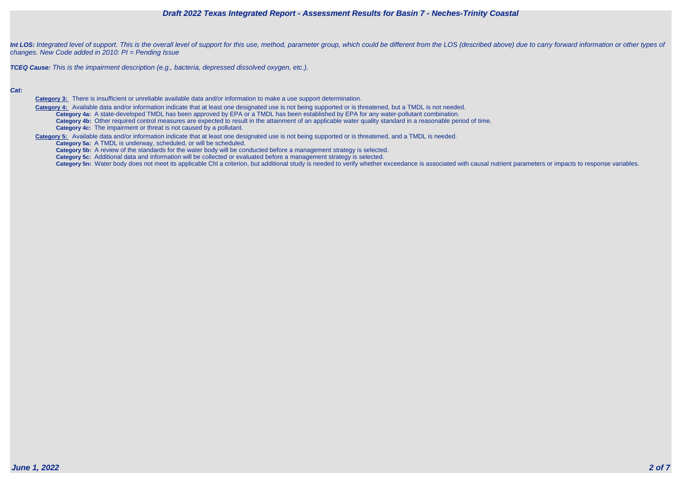

Int LOS: Integrated level of support. This is the overall level of support for this use, method, parameter group, which could be different from the LOS (described above) due to carry forward information or other types of changes. New Code added in 2010: PI = Pending Issue

**TCEQ Cause:** This is the impairment description (e.g., bacteria, depressed dissolved oxygen, etc.).

#### **Cat:**

**Category 3:** There is insufficient or unreliable available data and/or information to make a use support determination.

 **Category 4:** Available data and/or information indicate that at least one designated use is not being supported or is threatened, but a TMDL is not needed. **Category 4a:** A state-developed TMDL has been approved by EPA or a TMDL has been established by EPA for any water-pollutant combination. **Category 4b:** Other required control measures are expected to result in the attainment of an applicable water quality standard in a reasonable period of time. **Category 4c:** The impairment or threat is not caused by a pollutant.

**Category 5:** Available data and/or information indicate that at least one designated use is not being supported or is threatened, and a TMDL is needed.

**Category 5a:** A TMDL is underway, scheduled, or will be scheduled.

**Category 5b:** A review of the standards for the water body will be conducted before a management strategy is selected.

**Category 5c:** Additional data and information will be collected or evaluated before a management strategy is selected.

Category 5n: Water body does not meet its applicable Chl a criterion, but additional study is needed to verify whether exceedance is associated with causal nutrient parameters or impacts to response variables.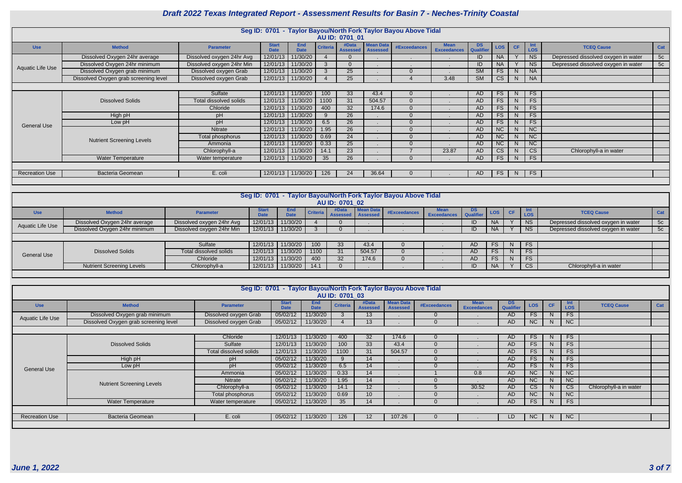|                       |                                       |                           |                             |                    |                 |                          |                                     | Seg ID: 0701 - Taylor Bayou/North Fork Taylor Bayou Above Tidal |                                   |                               |            |                |                          |                                     |     |
|-----------------------|---------------------------------------|---------------------------|-----------------------------|--------------------|-----------------|--------------------------|-------------------------------------|-----------------------------------------------------------------|-----------------------------------|-------------------------------|------------|----------------|--------------------------|-------------------------------------|-----|
|                       |                                       |                           |                             |                    |                 | AU ID: 0701 01           |                                     |                                                                 |                                   |                               |            |                |                          |                                     |     |
| <b>Use</b>            | <b>Method</b>                         | <b>Parameter</b>          | <b>Start</b><br><b>Date</b> | End<br><b>Date</b> | <b>Criteria</b> | #Data<br><b>Assessed</b> | <b>Mean Data</b><br><b>Assessed</b> | <b>#Exceedances</b>                                             | <b>Mean</b><br><b>Exceedances</b> | <b>DS</b><br><b>Qualifier</b> | <b>LOS</b> | <b>CF</b>      | <b>Int</b><br><b>LOS</b> | <b>TCEQ Cause</b>                   | Cat |
|                       | Dissolved Oxygen 24hr average         | Dissolved oxygen 24hr Avg | 12/01/13                    | 11/30/20           |                 |                          |                                     |                                                                 |                                   | ID                            | <b>NA</b>  |                | <b>NS</b>                | Depressed dissolved oxygen in water | 5c  |
| Aquatic Life Use      | Dissolved Oxygen 24hr minimum         | Dissolved oxygen 24hr Min | 12/01/13                    | 11/30/20           |                 |                          |                                     |                                                                 |                                   | ID                            | <b>NA</b>  |                | <b>NS</b>                | Depressed dissolved oxygen in water | 5c  |
|                       | Dissolved Oxygen grab minimum         | Dissolved oxygen Grab     | 12/01/13                    | 11/30/20           |                 | 25 <sub>2</sub>          |                                     | $\Omega$                                                        |                                   | <b>SM</b>                     | <b>FS</b>  | N              | <b>NA</b>                |                                     |     |
|                       | Dissolved Oxygen grab screening level | Dissolved oxygen Grab     | 12/01/13 11/30/20           |                    |                 | 25                       |                                     |                                                                 | 3.48                              | <b>SM</b>                     | <b>CS</b>  | N.             | <b>NA</b>                |                                     |     |
|                       |                                       |                           |                             |                    |                 |                          |                                     |                                                                 |                                   |                               |            |                |                          |                                     |     |
|                       |                                       | Sulfate                   | 12/01/13                    | 11/30/20           | 100             | 33                       | 43.4                                | $\Omega$                                                        |                                   | AD.                           | <b>FS</b>  | N <sub>1</sub> | <b>FS</b>                |                                     |     |
|                       | <b>Dissolved Solids</b>               | Total dissolved solids    | 12/01/13                    | 11/30/20           | 1100            | 31                       | 504.57                              | $\Omega$                                                        |                                   | AD                            | <b>FS</b>  | N              | <b>FS</b>                |                                     |     |
|                       |                                       | Chloride                  | 12/01/13                    | 11/30/20           | 400             | 32                       | 174.6                               | $\Omega$                                                        |                                   | AD.                           | <b>FS</b>  | <sup>N</sup>   | $\overline{\mathsf{FS}}$ |                                     |     |
|                       | High pH                               | pH                        | 12/01/13                    | 11/30/20           |                 | 26                       |                                     | $\Omega$                                                        |                                   | AD                            | <b>FS</b>  | <sub>N</sub>   | <b>FS</b>                |                                     |     |
| <b>General Use</b>    | Low pH                                | pH                        | 12/01/13                    | 11/30/20           | 6.5             | 26                       |                                     | $\Omega$                                                        |                                   | <b>AD</b>                     | <b>FS</b>  | <sub>N</sub>   | FS                       |                                     |     |
|                       |                                       | Nitrate                   | 12/01/13                    | 11/30/20           | 1.95            | 26                       |                                     | $\Omega$                                                        |                                   | AD                            | NC         | N              | $\overline{\text{NC}}$   |                                     |     |
|                       | <b>Nutrient Screening Levels</b>      | Total phosphorus          | 12/01/13                    | 11/30/20           | 0.69            | 24                       |                                     | $\Omega$                                                        |                                   | AD                            | NC         | N              | NC                       |                                     |     |
|                       |                                       | Ammonia                   | 12/01/13                    | 11/30/20           | 0.33            | 25                       |                                     | $\Omega$                                                        |                                   | AD                            | <b>NC</b>  | <sup>N</sup>   | <b>NC</b>                |                                     |     |
|                       |                                       | Chlorophyll-a             | 12/01/13                    | 11/30/20           | 14.1            | 23                       |                                     |                                                                 | 23.87                             | AD                            | СS         | N              | CS                       | Chlorophyll-a in water              |     |
|                       | Water Temperature                     | Water temperature         | 12/01/13                    | 11/30/20           | 35              | 26                       |                                     | $\Omega$                                                        |                                   | AD                            | <b>FS</b>  | N <sub>1</sub> | <b>FS</b>                |                                     |     |
|                       |                                       |                           |                             |                    |                 |                          |                                     |                                                                 |                                   |                               |            |                |                          |                                     |     |
| <b>Recreation Use</b> | <b>Bacteria Geomean</b>               | E. coli                   | 12/01/13 11/30/20           |                    | 126             | 24                       | 36.64                               |                                                                 |                                   | AD.                           | FS         | N              | <b>FS</b>                |                                     |     |
|                       |                                       |                           |                             |                    |                 |                          |                                     |                                                                 |                                   |                               |            |                |                          |                                     |     |

|                    |                                  |                           |                             |                    |                  |                              |                  | Seg ID: 0701 - Taylor Bayou/North Fork Taylor Bayou Above Tidal |                                   |                  |                  |    |                |                                     |     |
|--------------------|----------------------------------|---------------------------|-----------------------------|--------------------|------------------|------------------------------|------------------|-----------------------------------------------------------------|-----------------------------------|------------------|------------------|----|----------------|-------------------------------------|-----|
|                    |                                  |                           |                             |                    |                  | AU ID: 0701 02               |                  |                                                                 |                                   |                  |                  |    |                |                                     |     |
| <b>Use</b>         | <b>Method</b>                    | <b>Parameter</b>          | <b>Start</b><br><b>Date</b> | End<br><b>Date</b> | Criteria         | #Data<br>Assessed   Assessed | <b>Mean Data</b> | <b>#Exceedances</b>                                             | <b>Mean</b><br><b>Exceedances</b> | DS.<br>Qualifier | LOS <sub>I</sub> | CE |                | <b>TCEQ Cause</b>                   | Cat |
| Aquatic Life Use   | Dissolved Oxygen 24hr average    | Dissolved oxygen 24hr Avg | 12/01/13                    | 11/30/20           |                  |                              |                  |                                                                 |                                   | ID               |                  |    | <b>NS</b>      | Depressed dissolved oxygen in water | 5c  |
|                    | Dissolved Oxygen 24hr minimum    | Dissolved oxygen 24hr Min | 12/01/13                    | 11/30/20           |                  |                              |                  |                                                                 |                                   | ID               | NA.              |    | N <sub>S</sub> | Depressed dissolved oxygen in water | 5c  |
|                    |                                  |                           |                             |                    |                  |                              |                  |                                                                 |                                   |                  |                  |    |                |                                     |     |
|                    |                                  | Sulfate                   | 12/01/13                    | 11/30/20           | 100 <sub>1</sub> | 33                           | 43.4             |                                                                 |                                   | AD               | FS.              | N  | <b>FS</b>      |                                     |     |
| <b>General Use</b> | <b>Dissolved Solids</b>          | Total dissolved solids    | 12/01/13                    | 11/30/20           | 1100             | 31                           | 504.57           |                                                                 |                                   | AD               | FS.              |    | <b>FS</b>      |                                     |     |
|                    |                                  | Chloride                  | 12/01/13                    | 11/30/20           | 400              | 32                           | 174.6            |                                                                 |                                   | <b>AD</b>        | FS.              |    | <b>FS</b>      |                                     |     |
|                    | <b>Nutrient Screening Levels</b> | Chlorophyll-a             | 12/01/13                    | 11/30/20           | 14.1             |                              |                  |                                                                 |                                   | ID               |                  |    | <b>CS</b>      | Chlorophyll-a in water              |     |
|                    |                                  |                           |                             |                    |                  |                              |                  |                                                                 |                                   |                  |                  |    |                |                                     |     |

|                       |                                       | Seg ID: 0701 - Taylor Bayou/North Fork Taylor Bayou Above Tidal |                             |                           | AU ID: 0701 03  |                          |                                     |                     |                                   |                        |            |                |                        |                        |     |
|-----------------------|---------------------------------------|-----------------------------------------------------------------|-----------------------------|---------------------------|-----------------|--------------------------|-------------------------------------|---------------------|-----------------------------------|------------------------|------------|----------------|------------------------|------------------------|-----|
| <b>Use</b>            | <b>Method</b>                         | <b>Parameter</b>                                                | <b>Start</b><br><b>Date</b> | <b>End</b><br><b>Date</b> | <b>Criteria</b> | #Data<br><b>Assessed</b> | <b>Mean Data</b><br><b>Assessed</b> | <b>#Exceedances</b> | <b>Mean</b><br><b>Exceedances</b> | <b>DS</b><br>Qualifier | <b>LOS</b> | CF             | Int<br><b>LOS</b>      | <b>TCEQ Cause</b>      | Cat |
|                       | Dissolved Oxygen grab minimum         | Dissolved oxygen Grab                                           | 05/02/12                    | 11/30/20                  |                 | 13                       |                                     |                     |                                   | <b>AD</b>              | <b>FS</b>  | N.             | <b>FS</b>              |                        |     |
| Aquatic Life Use      | Dissolved Oxygen grab screening level | Dissolved oxygen Grab                                           | 05/02/12                    | 11/30/20                  |                 | 13                       |                                     |                     |                                   | AD                     | NC         | N              | NC                     |                        |     |
|                       |                                       |                                                                 |                             |                           |                 |                          |                                     |                     |                                   |                        |            |                |                        |                        |     |
|                       |                                       | Chloride                                                        | 12/01/13                    | 11/30/20                  | 400             | 32 <sup>°</sup>          | 174.6                               |                     |                                   | <b>AD</b>              | <b>FS</b>  | N.             | FS                     |                        |     |
|                       | <b>Dissolved Solids</b>               | Sulfate                                                         | 12/01/13                    | 11/30/20                  | 100             | 33                       | 43.4                                |                     |                                   | <b>AD</b>              | FS.        | N              | FS                     |                        |     |
|                       |                                       | Total dissolved solids                                          | 12/01/13                    | 11/30/20                  | 1100            | 31                       | 504.57                              |                     |                                   | <b>AD</b>              | <b>FS</b>  | N <sub>1</sub> | FS                     |                        |     |
|                       | High pH                               | pH                                                              | 05/02/12                    | 11/30/20                  | 9               | 14                       |                                     |                     |                                   | <b>AD</b>              | <b>FS</b>  | N              | <b>FS</b>              |                        |     |
| <b>General Use</b>    | Low pH                                | pH                                                              | 05/02/12                    | 11/30/20                  | 6.5             | 14                       |                                     |                     |                                   | <b>AD</b>              | <b>FS</b>  | N.             | FS                     |                        |     |
|                       |                                       | Ammonia                                                         | 05/02/12                    | 11/30/20                  | 0.33            | 14                       |                                     |                     | 0.8                               | <b>AD</b>              | NC         | N <sub>1</sub> | $\overline{\text{NC}}$ |                        |     |
|                       | <b>Nutrient Screening Levels</b>      | Nitrate                                                         | 05/02/12                    | 11/30/20                  | 1.95            | 14                       |                                     |                     |                                   | <b>AD</b>              | NC         | N <sub>1</sub> | NC                     |                        |     |
|                       |                                       | Chlorophyll-a                                                   | 05/02/12                    | 11/30/20                  | 14.1            | 12 <sub>2</sub>          |                                     |                     | 30.52                             | AD                     | CS         | N <sub>1</sub> | CS                     | Chlorophyll-a in water |     |
|                       |                                       | Total phosphorus                                                | 05/02/12                    | 11/30/20                  | 0.69            | 10 <sup>1</sup>          |                                     |                     |                                   | <b>AD</b>              | NC         | N <sub>1</sub> | <b>NC</b>              |                        |     |
|                       | <b>Water Temperature</b>              | Water temperature                                               | 05/02/12                    | 11/30/20                  | 35              | 14                       |                                     |                     |                                   | AD                     | <b>FS</b>  | N.             | <b>FS</b>              |                        |     |
|                       |                                       |                                                                 |                             |                           |                 |                          |                                     |                     |                                   |                        |            |                |                        |                        |     |
| <b>Recreation Use</b> | <b>Bacteria Geomean</b>               | E. coli                                                         | 05/02/12                    | 11/30/20                  | 126             | 12                       | 107.26                              |                     |                                   | LD                     | NC         | N.             | NC                     |                        |     |
|                       |                                       |                                                                 |                             |                           |                 |                          |                                     |                     |                                   |                        |            |                |                        |                        |     |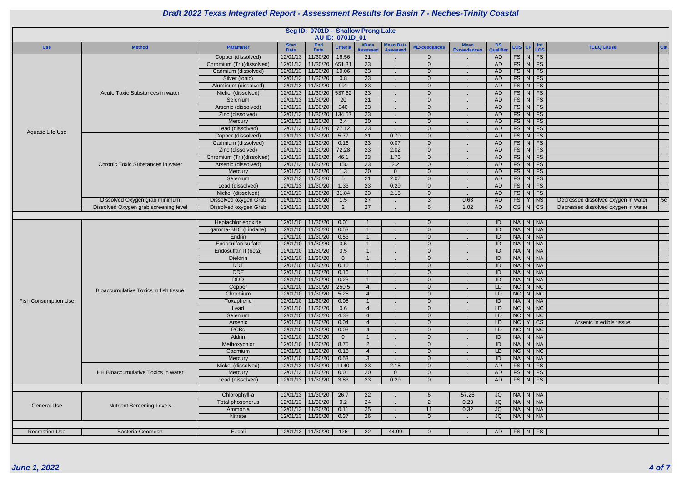| DS<br>Qualifier | <b>LOS</b>               | <b>CF</b>               | Int<br>LOS               | <b>TCEQ Cause</b>                   | Cat |
|-----------------|--------------------------|-------------------------|--------------------------|-------------------------------------|-----|
| <b>AD</b>       | FS                       | $\overline{\mathsf{N}}$ | FS                       |                                     |     |
| <b>AD</b>       | $\overline{\mathsf{FS}}$ | $\overline{N}$          | FS                       |                                     |     |
| <b>AD</b>       | $\overline{\text{FS}}$   | $\overline{N}$          | $\overline{\mathsf{FS}}$ |                                     |     |
| <b>AD</b>       | $\overline{\mathsf{FS}}$ | $\overline{N}$          | $\overline{\mathsf{FS}}$ |                                     |     |
| <b>AD</b>       | $\overline{\mathsf{FS}}$ | $\overline{N}$          | $\overline{\mathsf{FS}}$ |                                     |     |
| <b>AD</b>       | $\overline{\text{FS}}$   | $\overline{N}$          | $\overline{\text{FS}}$   |                                     |     |
| <b>AD</b>       | $\overline{\text{FS}}$   | $\overline{N}$          | $\overline{\text{FS}}$   |                                     |     |
| <b>AD</b>       | $\overline{\text{FS}}$   | $\overline{N}$          | $\overline{\mathsf{FS}}$ |                                     |     |
| <b>AD</b>       | $\overline{\text{FS}}$   | N                       | FS                       |                                     |     |
| <b>AD</b>       | $\overline{\text{FS}}$   | $\overline{\mathsf{N}}$ | $\overline{\text{FS}}$   |                                     |     |
| <b>AD</b>       | $\overline{\mathsf{FS}}$ | $\overline{\mathsf{N}}$ | $\overline{\mathsf{FS}}$ |                                     |     |
| <b>AD</b>       | $\overline{\mathsf{FS}}$ | $\overline{\mathsf{N}}$ | $\overline{\mathsf{FS}}$ |                                     |     |
| <b>AD</b>       | $\overline{\text{FS}}$   | $\overline{N}$          | $\overline{\text{FS}}$   |                                     |     |
| <b>AD</b>       | $\overline{\mathsf{FS}}$ | $\overline{\mathsf{N}}$ | $\overline{\text{FS}}$   |                                     |     |
| <b>AD</b>       | $\overline{\mathsf{FS}}$ | $\overline{\mathsf{N}}$ | $\overline{\mathsf{FS}}$ |                                     |     |
| <b>AD</b>       | $\overline{\mathsf{FS}}$ | $\overline{\mathsf{N}}$ | $\overline{\text{FS}}$   |                                     |     |
| <b>AD</b>       | $\overline{\mathsf{FS}}$ | $\overline{N}$          | $\overline{\mathsf{FS}}$ |                                     |     |
| <b>AD</b>       | $\overline{\mathsf{FS}}$ | $\overline{N}$          | $\overline{\mathsf{FS}}$ |                                     |     |
| <b>AD</b>       | FS                       | $\overline{N}$          | FS                       |                                     |     |
| <b>AD</b>       | $\overline{\text{FS}}$   | $\overline{N}$          | $\overline{\text{FS}}$   |                                     |     |
| <b>AD</b>       | $\overline{\text{FS}}$   | $\overline{\mathsf{Y}}$ | $\overline{\text{NS}}$   | Depressed dissolved oxygen in water | 5c  |
| <b>AD</b>       | $\overline{\text{cs}}$   | $\overline{\mathsf{N}}$ | $\overline{\text{CS}}$   | Depressed dissolved oxygen in water |     |
|                 |                          |                         |                          |                                     |     |
| $\overline{ID}$ | <b>NA</b>                | $\overline{N}$          | <b>NA</b>                |                                     |     |
| $\overline{ID}$ | <b>NA</b>                | $\overline{N}$          | <b>NA</b>                |                                     |     |
| $\overline{ID}$ | <b>NA</b>                | $\overline{N}$          | <b>NA</b>                |                                     |     |
| $\overline{1}$  | <b>NA</b>                | $\overline{N}$          | <b>NA</b>                |                                     |     |
| $\overline{ID}$ | <b>NA</b>                | $\overline{\mathsf{N}}$ | <b>NA</b>                |                                     |     |
| $\overline{ID}$ | <b>NA</b>                | $\overline{N}$          | <b>NA</b>                |                                     |     |
| $\overline{ID}$ | <b>NA</b>                | $\overline{N}$          | $\overline{\mathsf{NA}}$ |                                     |     |
| $\overline{1}$  | <b>NA</b>                | $\overline{\mathsf{N}}$ | <b>NA</b>                |                                     |     |
| $\overline{ID}$ | <b>NA</b>                | $\overline{N}$          | <b>NA</b>                |                                     |     |
| LD              | NC                       | $\overline{N}$          | NC                       |                                     |     |
| LD              | <b>NC</b>                | N                       | <b>NC</b>                |                                     |     |
| $\overline{1}$  | <b>NA</b>                | ${\sf N}$               | <b>NA</b>                |                                     |     |
| LD              | $\overline{\text{NC}}$   | $\overline{N}$          | NC                       |                                     |     |
| LD              | $\overline{\text{NC}}$   | N                       | NC                       |                                     |     |
| LD              | NC                       | $\overline{Y}$          | $\overline{\text{CS}}$   | Arsenic in edible tissue            |     |
| LD              | $\overline{\text{NC}}$   | $\overline{N}$          | NC                       |                                     |     |
| $\sf ID$        | <b>NA</b>                | N                       | <b>NA</b>                |                                     |     |
| $\sf ID$        | <b>NA</b>                | N                       | <b>NA</b>                |                                     |     |
| LD              | $\overline{\text{NC}}$   | N                       | $\overline{\text{NC}}$   |                                     |     |
| $\overline{ID}$ | <b>NA</b>                | N                       | <b>NA</b>                |                                     |     |
| <b>AD</b>       | FS                       | N                       | $\overline{\mathsf{FS}}$ |                                     |     |
| <b>AD</b>       | FS                       | ${\sf N}$               | FS                       |                                     |     |
| <b>AD</b>       | FS                       | $\overline{\mathsf{N}}$ | FS                       |                                     |     |
|                 |                          |                         |                          |                                     |     |
| <b>JQ</b>       | <b>NA</b>                | ${\sf N}$               | <b>NA</b>                |                                     |     |
| JQ              | <b>NA</b>                | ${\sf N}$               | <b>NA</b>                |                                     |     |
| JQ              | <b>NA</b>                | ${\sf N}$               | <b>NA</b>                |                                     |     |
| JQ              | <b>NA</b>                | N                       | <b>NA</b>                |                                     |     |
|                 |                          |                         |                          |                                     |     |
| <b>AD</b>       | <b>FS</b>                | $\mathsf{N}$            | <b>FS</b>                |                                     |     |
|                 |                          |                         |                          |                                     |     |
|                 |                          |                         |                          |                                     |     |

|                             |                                       |                           |                             |                     | AU ID: 0701D 01 | Seg ID: 0701D - Shallow Prong Lake |                                     |                     |                                   |                        |                    |  |                                     |    |
|-----------------------------|---------------------------------------|---------------------------|-----------------------------|---------------------|-----------------|------------------------------------|-------------------------------------|---------------------|-----------------------------------|------------------------|--------------------|--|-------------------------------------|----|
| <b>Use</b>                  | <b>Method</b>                         | <b>Parameter</b>          | <b>Start</b><br><b>Date</b> | End<br><b>Date</b>  | <b>Criteria</b> | #Data<br><b>Assessed</b>           | <b>Mean Data</b><br><b>Assessed</b> | <b>#Exceedances</b> | <b>Mean</b><br><b>Exceedances</b> | <b>DS</b><br>Qualifier | LOS CF Int         |  | <b>TCEQ Cause</b>                   | Ca |
|                             |                                       | Copper (dissolved)        | 12/01/13                    | 11/30/20            | 16.56           | $\overline{21}$                    |                                     | $\Omega$            |                                   | AD                     | $FS\mid N \mid FS$ |  |                                     |    |
|                             |                                       | Chromium (Tri)(dissolved) | 12/01/13                    | 11/30/20            | 651.31          | $\overline{23}$                    |                                     | $\Omega$            | $\sim$                            | <b>AD</b>              | $FS$ $N$ $FS$      |  |                                     |    |
|                             |                                       | Cadmium (dissolved)       | 12/01/13                    | 11/30/20            | 10.06           | 23                                 |                                     | $\Omega$            |                                   | <b>AD</b>              | $FS\mid N \mid FS$ |  |                                     |    |
|                             |                                       | Silver (ionic)            | 12/01/13                    | 11/30/20            | 0.8             | $\overline{23}$                    |                                     | $\Omega$            |                                   | <b>AD</b>              | $FS\mid N \mid FS$ |  |                                     |    |
|                             |                                       | Aluminum (dissolved)      | 12/01/13                    | 11/30/20            | 991             | 23                                 |                                     | $\Omega$            |                                   | <b>AD</b>              | $FS$ N FS          |  |                                     |    |
|                             | Acute Toxic Substances in water       | Nickel (dissolved)        | 12/01/13                    | 11/30/20            | 537.62          | 23                                 |                                     | $\Omega$            |                                   | <b>AD</b>              | $FS$ $N$ $FS$      |  |                                     |    |
|                             |                                       | Selenium                  |                             | 12/01/13 11/30/20   | $\overline{20}$ | 21                                 |                                     | $\Omega$            |                                   | <b>AD</b>              | $FS$ $N$ $FS$      |  |                                     |    |
|                             |                                       | Arsenic (dissolved)       | 12/01/13                    | 11/30/20            | 340             | $\overline{23}$                    |                                     | $\Omega$            |                                   | <b>AD</b>              | $FS$ $N$ $FS$      |  |                                     |    |
|                             |                                       | Zinc (dissolved)          | 12/01/13                    | 11/30/20            | 134.57          | $\overline{23}$                    |                                     | $\Omega$            |                                   | <b>AD</b>              | $FS$ $N$ $FS$      |  |                                     |    |
|                             |                                       | Mercury                   | 12/01/13                    | 11/30/20            | 2.4             | $\overline{20}$                    |                                     | $\Omega$            |                                   | <b>AD</b>              | $FS\mid N \mid FS$ |  |                                     |    |
|                             |                                       | Lead (dissolved)          | 12/01/13                    | 11/30/20            | 77.12           | $\overline{23}$                    |                                     | $\Omega$            |                                   | AD                     | $FS$ $N$ $FS$      |  |                                     |    |
| <b>Aquatic Life Use</b>     |                                       | Copper (dissolved)        | 12/01/13                    | 11/30/20            | 5.77            | $\overline{21}$                    | 0.79                                | $\Omega$            |                                   | <b>AD</b>              | $FS\mid N \mid FS$ |  |                                     |    |
|                             |                                       | Cadmium (dissolved)       | 12/01/13                    | 11/30/20            | 0.16            | $\overline{23}$                    | 0.07                                | $\Omega$            |                                   | <b>AD</b>              | $FS$ $N$ $FS$      |  |                                     |    |
|                             |                                       | Zinc (dissolved)          | 12/01/13                    | 11/30/20            | 72.28           | $\overline{23}$                    | 2.02                                | $\Omega$            |                                   | <b>AD</b>              | $FS\mid N \mid FS$ |  |                                     |    |
|                             |                                       | Chromium (Tri)(dissolved) | 12/01/13                    | 11/30/20            | 46.1            | $\overline{23}$                    | 1.76                                | $\Omega$            |                                   | <b>AD</b>              | $FS$ $N$ $FS$      |  |                                     |    |
|                             | Chronic Toxic Substances in water     | Arsenic (dissolved)       | 12/01/13                    | 11/30/20            | 150             | 23                                 | 2.2                                 | $\Omega$            |                                   | <b>AD</b>              | $FS$ $N$ $FS$      |  |                                     |    |
|                             |                                       | Mercury                   | 12/01/13                    | 11/30/20            | 1.3             | 20                                 | $\Omega$                            | $\Omega$            |                                   | <b>AD</b>              | $FS\mid N \mid FS$ |  |                                     |    |
|                             |                                       | Selenium                  | 12/01/13                    | 11/30/20            | $5\overline{)}$ | 21                                 | 2.07                                | $\Omega$            |                                   | AD                     | $FS$ $N$ $FS$      |  |                                     |    |
|                             |                                       | Lead (dissolved)          | 12/01/13                    | 11/30/20            | 1.33            | $\overline{23}$                    | 0.29                                | $\Omega$            |                                   | <b>AD</b>              | $FS\mid N \mid FS$ |  |                                     |    |
|                             |                                       | Nickel (dissolved)        | 12/01/13                    | 11/30/20            | 31.84           | $\overline{23}$                    | 2.15                                | $\Omega$            |                                   | <b>AD</b>              | $FS$ $N$ $FS$      |  |                                     |    |
|                             | Dissolved Oxygen grab minimum         | Dissolved oxygen Grab     |                             | 12/01/13 11/30/20   | 1.5             | $\overline{27}$                    |                                     | 3                   | 0.63                              | <b>AD</b>              | FS Y NS            |  | Depressed dissolved oxygen in water | 5c |
|                             | Dissolved Oxygen grab screening level | Dissolved oxygen Grab     |                             | 12/01/13   11/30/20 | 2               | $\overline{27}$                    |                                     | $5\overline{5}$     | 1.02                              | <b>AD</b>              | $CS$ $N$ $CS$      |  | Depressed dissolved oxygen in water |    |
|                             |                                       |                           |                             |                     |                 |                                    |                                     |                     |                                   |                        |                    |  |                                     |    |
|                             |                                       | Heptachlor epoxide        |                             | 12/01/10 11/30/20   | 0.01            |                                    |                                     | $\Omega$            |                                   | ID                     | NA N NA            |  |                                     |    |
|                             |                                       | gamma-BHC (Lindane)       | 12/01/10                    | 11/30/20            | 0.53            |                                    |                                     | $\Omega$            |                                   | $\overline{ID}$        | NA N NA            |  |                                     |    |
|                             |                                       | Endrin                    |                             | 12/01/10 11/30/20   | 0.53            |                                    |                                     | $\Omega$            |                                   | $\overline{1}$         | NA N NA            |  |                                     |    |
|                             |                                       | Endosulfan sulfate        | 12/01/10                    | 11/30/20            | 3.5             |                                    |                                     | $\Omega$            |                                   | ID                     | NA N NA            |  |                                     |    |
|                             |                                       | Endosulfan II (beta)      | 12/01/10                    | 11/30/20            | 3.5             |                                    |                                     | $\Omega$            |                                   | ID                     | NA N NA            |  |                                     |    |
|                             |                                       | <b>Dieldrin</b>           |                             | 12/01/10 11/30/20   | $\overline{0}$  |                                    |                                     | $\Omega$            |                                   | ID                     | NA N NA            |  |                                     |    |
|                             |                                       | <b>DDT</b>                |                             | 12/01/10 11/30/20   | 0.16            |                                    |                                     | $\Omega$            |                                   | ID                     | NA N NA            |  |                                     |    |
|                             |                                       | <b>DDE</b>                | 12/01/10                    | 11/30/20            | 0.16            |                                    |                                     | $\Omega$            |                                   | ID                     | NA N NA            |  |                                     |    |
|                             |                                       | <b>DDD</b>                |                             | 12/01/10 11/30/20   | 0.23            |                                    |                                     | $\Omega$            |                                   | ID                     | NA N NA            |  |                                     |    |
|                             | Bioaccumulative Toxics in fish tissue | Copper                    |                             | 12/01/10   11/30/20 | 250.5           |                                    |                                     | 0                   |                                   | LD                     | $NC$ $N$ $NC$      |  |                                     |    |
|                             |                                       | Chromium                  |                             | 12/01/10 11/30/20   | 5.25            | $\boldsymbol{\Delta}$              |                                     | $\Omega$            |                                   | LD                     | $NC$ $N$ $NC$      |  |                                     |    |
| <b>Fish Consumption Use</b> |                                       | Toxaphene                 |                             | 12/01/10 11/30/20   | 0.05            |                                    |                                     | $\Omega$            |                                   | ID                     | NA N NA            |  |                                     |    |
|                             |                                       | Lead                      |                             | 12/01/10 11/30/20   | 0.6             | $\overline{4}$                     |                                     | $\Omega$            |                                   | LD                     | $NC$ $N$ $NC$      |  |                                     |    |
|                             |                                       | Selenium                  |                             | 12/01/10 11/30/20   | 4.38            | $\overline{4}$                     |                                     | $\Omega$            |                                   | LD                     | $NC$ $N$ $NC$      |  |                                     |    |
|                             |                                       | Arsenic                   |                             | 12/01/10 11/30/20   | 0.04            | $\overline{4}$                     |                                     | $\Omega$            |                                   | LD                     | NCY CS             |  | Arsenic in edible tissue            |    |
|                             |                                       | <b>PCBs</b>               |                             | 12/01/10 11/30/20   | 0.03            | $\overline{4}$                     |                                     | $\Omega$            |                                   | LD                     | $NC$ $N$ $NC$      |  |                                     |    |
|                             |                                       | Aldrin                    |                             | 12/01/10 11/30/20   | $\overline{0}$  |                                    |                                     | $\overline{0}$      |                                   | ID                     | NA N NA            |  |                                     |    |
|                             |                                       | Methoxychlor              |                             | 12/01/10 11/30/20   | 8.75            | $\overline{2}$                     |                                     | $\overline{0}$      |                                   | ID                     | NA N NA            |  |                                     |    |
|                             |                                       | Cadmium                   |                             | 12/01/10 11/30/20   | 0.18            | $\overline{4}$                     |                                     | $\Omega$            |                                   | LD                     | $NC$ $N$ $NC$      |  |                                     |    |
|                             |                                       | Mercury                   |                             | 12/01/10 11/30/20   | 0.53            | $\mathbf{3}$                       |                                     | $\Omega$            |                                   | ID                     | NA N NA            |  |                                     |    |
|                             |                                       | Nickel (dissolved)        |                             | 12/01/13 11/30/20   | 1140            | 23                                 | 2.15                                | $\overline{0}$      |                                   | <b>AD</b>              | $FS$ N FS          |  |                                     |    |
|                             | HH Bioaccumulative Toxics in water    | Mercury                   |                             | 12/01/13 11/30/20   | 0.01            | $\overline{20}$                    | $\Omega$                            | $\overline{0}$      |                                   | <b>AD</b>              | $FS$ $N$ $FS$      |  |                                     |    |
|                             |                                       | Lead (dissolved)          |                             | 12/01/13 11/30/20   | 3.83            | $\overline{23}$                    | 0.29                                | $\Omega$            |                                   | AD                     | $FS\mid N \mid FS$ |  |                                     |    |
|                             |                                       |                           |                             |                     |                 |                                    |                                     |                     |                                   |                        |                    |  |                                     |    |
|                             |                                       | Chlorophyll-a             |                             | 12/01/13 11/30/20   | 26.7            | 22                                 |                                     | 6                   | 57.25                             | JQ                     | NA N NA            |  |                                     |    |
| <b>General Use</b>          | <b>Nutrient Screening Levels</b>      | Total phosphorus          |                             | 12/01/13 11/30/20   | 0.2             | 24                                 |                                     | $\overline{2}$      | 0.23                              | <b>JQ</b>              | NA N NA            |  |                                     |    |
|                             |                                       | Ammonia                   |                             | 12/01/13 11/30/20   | 0.11            | $\overline{25}$                    |                                     | 11                  | 0.32                              | <b>JQ</b>              | NA N NA            |  |                                     |    |
|                             |                                       | Nitrate                   |                             | 12/01/13 11/30/20   | 0.37            | $\overline{26}$                    |                                     | $\overline{0}$      |                                   | <b>JQ</b>              | NA N NA            |  |                                     |    |
|                             |                                       |                           |                             |                     |                 |                                    |                                     |                     |                                   |                        |                    |  |                                     |    |
| <b>Recreation Use</b>       | <b>Bacteria Geomean</b>               | E. coli                   |                             | 12/01/13 11/30/20   | 126             | 22                                 | 44.99                               | $\Omega$            |                                   | AD                     | $FS$ N FS          |  |                                     |    |
|                             |                                       |                           |                             |                     |                 |                                    |                                     |                     |                                   |                        |                    |  |                                     |    |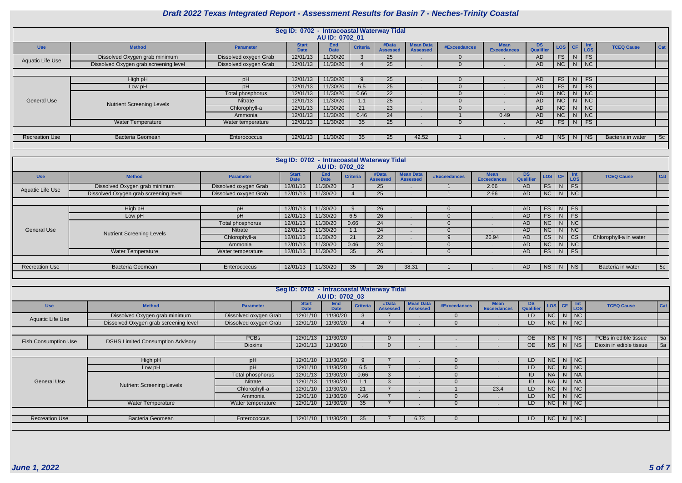|                       |                                       |                       | Seg ID: 0702 - Intracoastal Waterway Tidal | AU ID: 0702 01            |                 |                          |                                     |                     |                            |                               |           |                |                             |                   |     |
|-----------------------|---------------------------------------|-----------------------|--------------------------------------------|---------------------------|-----------------|--------------------------|-------------------------------------|---------------------|----------------------------|-------------------------------|-----------|----------------|-----------------------------|-------------------|-----|
| <b>Use</b>            | <b>Method</b>                         | <b>Parameter</b>      | <b>Start</b><br><b>Date</b>                | <b>End</b><br><b>Date</b> | <b>Criteria</b> | #Data<br><b>Assessed</b> | <b>Mean Data</b><br><b>Assessed</b> | <b>#Exceedances</b> | Mean<br><b>Exceedances</b> | <b>DS</b><br><b>Qualifier</b> | LOS CF    |                | <b>Int</b><br>Los           | <b>TCEQ Cause</b> | Cat |
| Aquatic Life Use      | Dissolved Oxygen grab minimum         | Dissolved oxygen Grab | 12/01/13                                   | 11/30/20                  |                 | 25                       |                                     |                     |                            | AD                            | FS        | N <sub>1</sub> | FS                          |                   |     |
|                       | Dissolved Oxygen grab screening level | Dissolved oxygen Grab | 12/01/13                                   | 11/30/20                  |                 | 25                       |                                     |                     |                            | AD                            | NC N NC   |                |                             |                   |     |
|                       |                                       |                       |                                            |                           |                 |                          |                                     |                     |                            |                               |           |                |                             |                   |     |
|                       | High pH                               | pH                    | 12/01/13                                   | 11/30/20                  |                 | 25                       |                                     |                     |                            | AD.                           | <b>FS</b> | N              | FS                          |                   |     |
|                       | Low pH                                | pH                    | 12/01/13                                   | 11/30/20                  | 6.5             | 25                       |                                     |                     |                            | AD.                           | <b>FS</b> | N.             | <b>FS</b>                   |                   |     |
|                       |                                       | Total phosphorus      | 12/01/13                                   | 11/30/20                  | 0.66            | 22                       |                                     |                     |                            | AD                            | <b>NC</b> |                | $N$ NC                      |                   |     |
| <b>General Use</b>    | <b>Nutrient Screening Levels</b>      | Nitrate               | 12/01/13                                   | 11/30/20                  |                 | 25                       |                                     |                     |                            | AD                            | <b>NC</b> | N <sub>1</sub> | $\overline{\phantom{a}}$ NC |                   |     |
|                       |                                       | Chlorophyll-a         | 12/01/13                                   | 11/30/20                  | 21              | 23                       |                                     |                     |                            | AD                            | <b>NC</b> | N.             | $\overline{\phantom{a}}$ NC |                   |     |
|                       |                                       | Ammonia               | 12/01/13                                   | 11/30/20                  | 0.46            | 24                       |                                     |                     | 0.49                       | AD                            | <b>NC</b> | N.             | $\overline{\phantom{a}}$ NC |                   |     |
|                       | <b>Water Temperature</b>              | Water temperature     | 12/01/13                                   | 11/30/20                  | 35 <sup>5</sup> | 25                       |                                     |                     |                            | AD                            | <b>FS</b> |                | $N$ FS                      |                   |     |
|                       |                                       |                       |                                            |                           |                 |                          |                                     |                     |                            |                               |           |                |                             |                   |     |
| <b>Recreation Use</b> | <b>Bacteria Geomean</b>               | Enterococcus          | 12/01/13                                   | 11/30/20                  | 35 <sup>°</sup> | 25                       | 42.52                               |                     |                            | AD.                           | <b>NS</b> | N.             | $ $ NS                      | Bacteria in water | 5c  |
|                       |                                       |                       |                                            |                           |                 |                          |                                     |                     |                            |                               |           |                |                             |                   |     |

|                         |                                       |                       | Seg ID: 0702 - Intracoastal Waterway Tidal |                           |                 |                          |                                     |              |                                   |                 |                |   |                             |                        |     |
|-------------------------|---------------------------------------|-----------------------|--------------------------------------------|---------------------------|-----------------|--------------------------|-------------------------------------|--------------|-----------------------------------|-----------------|----------------|---|-----------------------------|------------------------|-----|
|                         |                                       |                       |                                            | AU ID: 0702 02            |                 |                          |                                     |              |                                   |                 |                |   |                             |                        |     |
| <b>Use</b>              | <b>Method</b>                         | <b>Parameter</b>      | <b>Start</b><br><b>Date</b>                | <b>End</b><br><b>Date</b> | <b>Criteria</b> | #Data<br><b>Assessed</b> | <b>Mean Data</b><br><b>Assessed</b> | #Exceedances | <b>Mean</b><br><b>Exceedances</b> | DS<br>Qualifier | LOS CF         |   | <b>Int</b><br>LOS           | <b>TCEQ Cause</b>      | Cat |
| <b>Aquatic Life Use</b> | Dissolved Oxygen grab minimum         | Dissolved oxygen Grab | 12/01/13                                   | 11/30/20                  |                 | 25 <sup>2</sup>          |                                     |              | 2.66                              | <b>AD</b>       | <b>FS</b>      | N | FS                          |                        |     |
|                         | Dissolved Oxygen grab screening level | Dissolved oxygen Grab | 12/01/13                                   | 11/30/20                  |                 | 25                       |                                     |              | 2.66                              | AD              |                |   | $NC \mid N \mid NC$         |                        |     |
|                         |                                       |                       |                                            |                           |                 |                          |                                     |              |                                   |                 |                |   |                             |                        |     |
|                         | High pH                               | pH                    | 12/01/13                                   | 11/30/20                  |                 | 26                       |                                     |              |                                   | <b>AD</b>       | <b>FS</b>      | N | $\overline{\phantom{a}}$ FS |                        |     |
|                         | Low pH                                | pH                    | 12/01/13                                   | 11/30/20                  | 6.5             | 26                       |                                     |              |                                   | <b>AD</b>       | FS.            | N | <b>FS</b>                   |                        |     |
|                         |                                       | Total phosphorus      | 12/01/13                                   | 11/30/20                  | 0.66            | 24                       |                                     |              |                                   | <b>AD</b>       | NC             | N | $\overline{\phantom{a}}$ NC |                        |     |
| <b>General Use</b>      | <b>Nutrient Screening Levels</b>      | <b>Nitrate</b>        | 12/01/13                                   | 11/30/20                  |                 | 24                       |                                     |              |                                   | <b>AD</b>       | NC             | N | I NC                        |                        |     |
|                         |                                       | Chlorophyll-a         | 12/01/13                                   | 11/30/20                  | 21              | 22 <sub>2</sub>          |                                     |              | 26.94                             | <b>AD</b>       | C <sub>S</sub> |   | <b>CS</b>                   | Chlorophyll-a in water |     |
|                         |                                       | Ammonia               | 12/01/13                                   | 11/30/20                  | 0.46            | 24                       |                                     |              |                                   | <b>AD</b>       | $NC$   $N$     |   | $\overline{\phantom{a}}$ NC |                        |     |
|                         | <b>Water Temperature</b>              | Water temperature     | 12/01/13                                   | 11/30/20                  | 35              | 26                       |                                     |              |                                   | AD              | $FS$ N FS      |   |                             |                        |     |
|                         |                                       |                       |                                            |                           |                 |                          |                                     |              |                                   |                 |                |   |                             |                        |     |
| <b>Recreation Use</b>   | Bacteria Geomean                      | Enterococcus          | 12/01/13                                   | 11/30/20                  | 35              | 26                       | 38.31                               |              |                                   | AD              |                |   | NS   N   NS                 | Bacteria in water      | 5c  |
|                         |                                       |                       |                                            |                           |                 |                          |                                     |              |                                   |                 |                |   |                             |                        |     |

|                             |                                          |                       | Seg ID: 0702 - Intracoastal Waterway Tidal |                    |                 |                          |                                     |              |                                   |                 |            |          |          |                         |     |
|-----------------------------|------------------------------------------|-----------------------|--------------------------------------------|--------------------|-----------------|--------------------------|-------------------------------------|--------------|-----------------------------------|-----------------|------------|----------|----------|-------------------------|-----|
|                             |                                          |                       |                                            | AU ID: 0702 03     |                 |                          |                                     |              |                                   |                 |            |          |          |                         |     |
| <b>Use</b>                  | <b>Method</b>                            | <b>Parameter</b>      | <b>Start</b><br><b>Date</b>                | End<br><b>Date</b> | <b>Criteria</b> | #Data<br><b>Assessed</b> | <b>Mean Data</b><br><b>Assessed</b> | #Exceedances | <b>Mean</b><br><b>Exceedances</b> | DS<br>Qualifier | LOS CF Int |          |          | <b>TCEQ Cause</b>       | Cat |
| <b>Aquatic Life Use</b>     | Dissolved Oxygen grab minimum            | Dissolved oxygen Grab | 12/01/10                                   | 11/30/20           |                 |                          |                                     |              |                                   | LD.             | NC         | $N$   NC |          |                         |     |
|                             | Dissolved Oxygen grab screening level    | Dissolved oxygen Grab | 12/01/10                                   | 11/30/20           |                 |                          |                                     |              |                                   | LD.             | NC         | $N$ NC   |          |                         |     |
|                             |                                          |                       |                                            |                    |                 |                          |                                     |              |                                   |                 |            |          |          |                         |     |
| <b>Fish Consumption Use</b> | <b>DSHS Limited Consumption Advisory</b> | <b>PCBs</b>           | 12/01/13                                   | 11/30/20           |                 | $\mathbf{U}$             |                                     |              |                                   | <b>OE</b>       | <b>NS</b>  |          | N NS     | PCBs in edible tissue   | 5a  |
|                             |                                          | <b>Dioxins</b>        | 12/01/13                                   | 11/30/20           |                 |                          |                                     |              |                                   | OE.             | <b>NS</b>  |          | $N$   NS | Dioxin in edible tissue | 5a  |
|                             |                                          |                       |                                            |                    |                 |                          |                                     |              |                                   |                 |            |          |          |                         |     |
|                             | High pH                                  | pH                    | 12/01/10                                   | 11/30/20           |                 |                          |                                     | 0            |                                   | LD.             | NC         | $N$   NC |          |                         |     |
|                             | Low pH                                   | pH                    | 12/01/10                                   | 11/30/20           | 6.5             |                          |                                     |              |                                   | LD.             | NC         | $N$   NC |          |                         |     |
|                             |                                          | Total phosphorus      | 12/01/13                                   | 11/30/20           | 0.66            |                          |                                     |              |                                   | ID              | <b>NA</b>  | $N$ $NA$ |          |                         |     |
| <b>General Use</b>          | <b>Nutrient Screening Levels</b>         | <b>Nitrate</b>        | 12/01/13                                   | 11/30/20           |                 |                          |                                     |              |                                   | ID              | <b>NA</b>  | $N$ $NA$ |          |                         |     |
|                             |                                          | Chlorophyll-a         | 12/01/10                                   | 11/30/20           | 21              |                          |                                     |              | 23.4                              | LD.             | NC         |          | $N$   NC |                         |     |
|                             |                                          | Ammonia               | 12/01/10                                   | 11/30/20           | 0.46            |                          |                                     |              |                                   | LD.             | <b>NC</b>  |          | $N$ NC   |                         |     |
|                             | <b>Water Temperature</b>                 | Water temperature     | 12/01/10                                   | 11/30/20           | 35 <sup>5</sup> |                          |                                     |              |                                   | LD.             | NC         | $N$ NC   |          |                         |     |
|                             |                                          |                       |                                            |                    |                 |                          |                                     |              |                                   |                 |            |          |          |                         |     |
| <b>Recreation Use</b>       | <b>Bacteria Geomean</b>                  | Enterococcus          | 12/01/10                                   | 11/30/20           | 35              |                          | 6.73                                |              |                                   | LD.             | NC         | NNC      |          |                         |     |
|                             |                                          |                       |                                            |                    |                 |                          |                                     |              |                                   |                 |            |          |          |                         |     |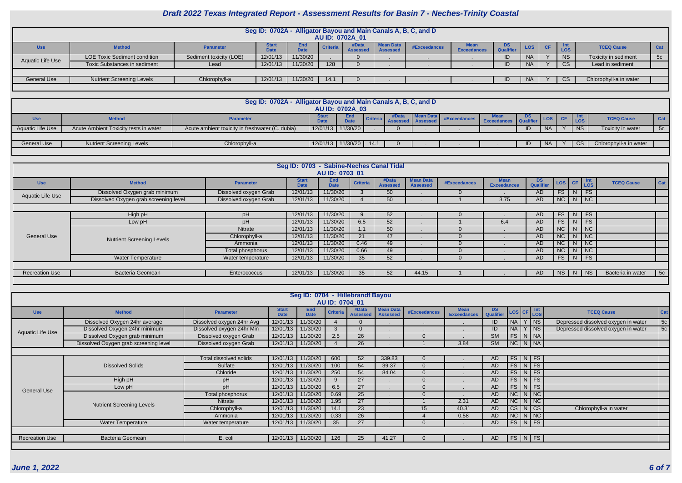| ٠ |  |  |  |
|---|--|--|--|

|                    |                                                                                                                                                                                                                                                                                                              |                         |          |          |      | AU ID: 0702A 01 |  | Seg ID: 0702A - Alligator Bayou and Main Canals A, B, C, and D |  |    |           |  |           |                        |    |
|--------------------|--------------------------------------------------------------------------------------------------------------------------------------------------------------------------------------------------------------------------------------------------------------------------------------------------------------|-------------------------|----------|----------|------|-----------------|--|----------------------------------------------------------------|--|----|-----------|--|-----------|------------------------|----|
| <b>Use</b>         | <b>Mean Data</b><br>DS<br>#Data<br><b>Mean</b><br><b>Start</b><br><b>TCEQ Cause</b><br><b>LOS</b><br>Cat<br><b>Method</b><br><b>Criteria</b><br>#Exceedances<br>CF.<br><b>Parameter</b><br><b>Qualifier</b><br><b>Exceedances</b><br><b>LOS</b><br><b>Date</b><br><b>Date</b><br><b>Assessed</b><br>Assessed |                         |          |          |      |                 |  |                                                                |  |    |           |  |           |                        |    |
| Aquatic Life Use   | <b>LOE Toxic Sediment condition</b>                                                                                                                                                                                                                                                                          | Sediment toxicity (LOE) | 12/01/13 | 11/30/20 |      |                 |  |                                                                |  | ID | <b>NA</b> |  | <b>NS</b> | Toxicity in sediment   | 5c |
|                    | <b>Toxic Substances in sediment</b>                                                                                                                                                                                                                                                                          | Lead                    | 12/01/13 | 11/30/20 | 128  |                 |  |                                                                |  | ID | <b>NA</b> |  | CS.       | Lead in sediment       |    |
|                    |                                                                                                                                                                                                                                                                                                              |                         |          |          |      |                 |  |                                                                |  |    |           |  |           |                        |    |
| <b>General Use</b> | <b>Nutrient Screening Levels</b>                                                                                                                                                                                                                                                                             | Chlorophyll-a           | 12/01/13 | 11/30/20 | 14.1 |                 |  |                                                                |  | ID | <b>NA</b> |  | CS        | Chlorophyll-a in water |    |
|                    |                                                                                                                                                                                                                                                                                                              |                         |          |          |      |                 |  |                                                                |  |    |           |  |           |                        |    |

|                         |                                       | Seg ID: 0702A - Alligator Bayou and Main Canals A, B, C, and D | AU ID: 0702A 03           |                 |       |                    |              |                    |                              |            |           |                        |            |
|-------------------------|---------------------------------------|----------------------------------------------------------------|---------------------------|-----------------|-------|--------------------|--------------|--------------------|------------------------------|------------|-----------|------------------------|------------|
| <b>Use</b>              | <b>Method</b>                         | <b>Parameter</b>                                               | <b>End</b><br><b>Date</b> | <b>Criteria</b> | #Data | <b>I</b> Mean Datz | #Exceedances | <b>Exceedances</b> | ്ധാ<br><b>Cost Qualifier</b> | <b>LOS</b> |           | <b>TCEQ Cause</b>      | <b>Cat</b> |
| <b>Aquatic Life Use</b> | Acute Ambient Toxicity tests in water | Acute ambient toxicity in freshwater (C. dubia)                | 12/01/13 11/30/20         |                 |       |                    |              |                    |                              |            | <b>NS</b> | Toxicity in water      | 5c         |
|                         |                                       |                                                                |                           |                 |       |                    |              |                    |                              |            |           |                        |            |
| <b>General Use</b>      | <b>Nutrient Screening Levels</b>      | Chlorophyll-a                                                  | 12/01/13 11/30/20         | 14.1            |       |                    |              |                    |                              |            | <b>CS</b> | Chlorophyll-a in water |            |
|                         |                                       |                                                                |                           |                 |       |                    |              |                    |                              |            |           |                        |            |

| Seg ID: 0703 - Sabine-Neches Canal Tidal<br>AU ID: 0703 01 |                                       |                       |                             |                           |                 |                          |                                     |                     |                            |                        |           |                |                             |                   |     |
|------------------------------------------------------------|---------------------------------------|-----------------------|-----------------------------|---------------------------|-----------------|--------------------------|-------------------------------------|---------------------|----------------------------|------------------------|-----------|----------------|-----------------------------|-------------------|-----|
| <b>Use</b>                                                 | <b>Method</b>                         | <b>Parameter</b>      | <b>Start</b><br><b>Date</b> | <b>End</b><br><b>Date</b> | <b>Criteria</b> | #Data<br><b>Assessed</b> | <b>Mean Data</b><br><b>Assessed</b> | <b>#Exceedances</b> | Mean<br><b>Exceedances</b> | <b>DS</b><br>Qualifier | LOS CF    |                | $\vert$ Int                 | <b>TCEQ Cause</b> | Cat |
| Aquatic Life Use                                           | Dissolved Oxygen grab minimum         | Dissolved oxygen Grab | 12/01/13                    | 11/30/20                  |                 | 50                       |                                     |                     |                            | AD.                    | <b>FS</b> | N <sub>1</sub> | FS                          |                   |     |
|                                                            | Dissolved Oxygen grab screening level | Dissolved oxygen Grab | 12/01/13                    | 11/30/20                  |                 | 50                       |                                     |                     | 3.75                       | AD                     |           |                | $NC$ $N$ $NC$               |                   |     |
|                                                            |                                       |                       |                             |                           |                 |                          |                                     |                     |                            |                        |           |                |                             |                   |     |
|                                                            | High pH                               | pH                    | 12/01/13                    | 11/30/20                  |                 | 52                       |                                     |                     |                            | AD.                    | <b>FS</b> | N              | F S                         |                   |     |
|                                                            | Low pH                                | pH                    | 12/01/13                    | 11/30/20                  | 6.5             | 52                       |                                     |                     | 6.4                        | AD.                    | <b>FS</b> | N <sub>1</sub> | <b>FS</b>                   |                   |     |
|                                                            |                                       | <b>Nitrate</b>        | 12/01/13                    | 11/30/20                  | 1.1             | 50 <sup>°</sup>          |                                     |                     |                            | AD.                    | <b>NC</b> | N.             | $\overline{\phantom{a}}$ NC |                   |     |
| <b>General Use</b>                                         | <b>Nutrient Screening Levels</b>      | Chlorophyll-a         | 12/01/13                    | 11/30/20                  | 21              | 47                       |                                     |                     |                            | AD                     | NC        | N <sub>1</sub> | $\overline{\phantom{a}}$ NC |                   |     |
|                                                            |                                       | Ammonia               | 12/01/13                    | 11/30/20                  | 0.46            | 49                       |                                     |                     |                            | AD.                    | <b>NC</b> | N <sub>1</sub> | $\overline{\phantom{a}}$ NC |                   |     |
|                                                            |                                       | Total phosphorus      | 12/01/13                    | 11/30/20                  | 0.66            | 49                       |                                     |                     |                            | AD.                    | <b>NC</b> | N.             | $\overline{\phantom{a}}$ NC |                   |     |
|                                                            | <b>Water Temperature</b>              | Water temperature     | 12/01/13                    | 11/30/20                  | 35 <sup>5</sup> | 52                       |                                     |                     |                            | AD                     | <b>FS</b> |                | $N$ FS                      |                   |     |
|                                                            |                                       |                       |                             |                           |                 |                          |                                     |                     |                            |                        |           |                |                             |                   |     |
| <b>Recreation Use</b>                                      | <b>Bacteria Geomean</b>               | Enterococcus          | 12/01/13                    | 11/30/20                  | 35              | 52                       | 44.15                               |                     |                            | AD.                    | <b>NS</b> |                | N   NS                      | Bacteria in water | 5c  |
|                                                            |                                       |                       |                             |                           |                 |                          |                                     |                     |                            |                        |           |                |                             |                   |     |

| Seg ID: 0704 - Hillebrandt Bayou |                                       |                           |                             |                           |                 |                          |                                     |              |                                    |                               |           |                         |                                     |     |
|----------------------------------|---------------------------------------|---------------------------|-----------------------------|---------------------------|-----------------|--------------------------|-------------------------------------|--------------|------------------------------------|-------------------------------|-----------|-------------------------|-------------------------------------|-----|
| AU ID: 0704 01                   |                                       |                           |                             |                           |                 |                          |                                     |              |                                    |                               |           |                         |                                     |     |
| <b>Use</b>                       | <b>Method</b>                         | <b>Parameter</b>          | <b>Start</b><br><b>Date</b> | <b>End</b><br><b>Date</b> | <b>Criteria</b> | #Data<br><b>Assessed</b> | <b>Mean Data</b><br><b>Assessed</b> | #Exceedances | <b>l</b> ean<br><b>Exceedances</b> | <b>DS</b><br><b>Qualifier</b> |           | LOS CF LOS              | <b>TCEQ Cause</b>                   | Cat |
|                                  | Dissolved Oxygen 24hr average         | Dissolved oxygen 24hr Avg | 12/01/13                    | 11/30/20                  |                 |                          |                                     |              |                                    |                               | <b>NA</b> | $ $ NS                  | Depressed dissolved oxygen in water | 5c  |
| <b>Aquatic Life Use</b>          | Dissolved Oxygen 24hr minimum         | Dissolved oxygen 24hr Min | 12/01/13                    | 11/30/20                  |                 |                          |                                     |              |                                    | ID                            | <b>NA</b> | $\sqrt{\phantom{a}}$ NS | Depressed dissolved oxygen in water | 5c  |
|                                  | Dissolved Oxygen grab minimum         | Dissolved oxygen Grab     | 12/01/13                    | 11/30/20                  | 2.5             | 26                       |                                     | $\Omega$     |                                    | <b>SM</b>                     |           | $FS$ $N$ $NA$           |                                     |     |
|                                  | Dissolved Oxygen grab screening level | Dissolved oxygen Grab     | 12/01/13                    | 11/30/20                  |                 | 26                       |                                     |              | 3.84                               | SM                            |           | $NC$ $N$ $NA$           |                                     |     |
|                                  |                                       |                           |                             |                           |                 |                          |                                     |              |                                    |                               |           |                         |                                     |     |
|                                  | <b>Dissolved Solids</b>               | Total dissolved solids    | 12/01/13                    | 11/30/20                  | 600             | 52                       | 339.83                              | $\Omega$     |                                    | AD.                           |           | $FS\mid N \mid FS$      |                                     |     |
|                                  |                                       | Sulfate                   | 12/01/13                    | 11/30/20                  | 100             | 54                       | 39.37                               |              |                                    | AD                            |           | $FS\mid N \mid FS$      |                                     |     |
|                                  |                                       | Chloride                  | 12/01/13                    | 11/30/20                  | 250             | 54                       | 84.04                               |              |                                    | AD.                           |           | $FS\mid N \mid FS$      |                                     |     |
|                                  | High pH                               | pH                        | 12/01/13                    | 11/30/20                  | 9               | 27                       |                                     | $\Omega$     |                                    | AD.                           | $FS$ $N$  | F <sub>S</sub>          |                                     |     |
| <b>General Use</b>               | Low pH                                | pH                        | 12/01/13                    | 11/30/20                  | 6.5             | 27                       |                                     |              |                                    | AD                            |           | $FS\mid N \mid FS$      |                                     |     |
|                                  |                                       | Total phosphorus          | 12/01/13                    | 11/30/20                  | 0.69            | 25                       |                                     |              |                                    | <b>AD</b>                     |           | $NC$ $N$ $NC$           |                                     |     |
|                                  | <b>Nutrient Screening Levels</b>      | Nitrate                   | 12/01/13                    | 11/30/20                  | 1.95            | 27                       |                                     |              | 2.31                               | AD.                           |           | $NC$ $N$ $NC$           |                                     |     |
|                                  |                                       | Chlorophyll-a             | 12/01/13                    | 11/30/20                  | 14.1            | 23                       |                                     | 15           | 40.31                              | AD                            |           | $CS$ N $CS$             | Chlorophyll-a in water              |     |
|                                  |                                       | Ammonia                   | 12/01/13                    | 11/30/20                  | 0.33            | 26                       |                                     |              | 0.58                               | <b>AD</b>                     |           | $NC \mid N \mid NC$     |                                     |     |
|                                  | <b>Water Temperature</b>              | Water temperature         | 12/01/13                    | 11/30/20                  | 35 <sup>5</sup> | 27                       |                                     |              |                                    | AD                            |           | $FS\vert N \vert FS$    |                                     |     |
|                                  |                                       |                           |                             |                           |                 |                          |                                     |              |                                    |                               |           |                         |                                     |     |
| <b>Recreation Use</b>            | <b>Bacteria Geomean</b>               | E. coli                   | 12/01/13                    | 11/30/20                  | 126             | 25                       | 41.27                               |              |                                    | AD                            |           | $FS\mid N \mid FS$      |                                     |     |
|                                  |                                       |                           |                             |                           |                 |                          |                                     |              |                                    |                               |           |                         |                                     |     |